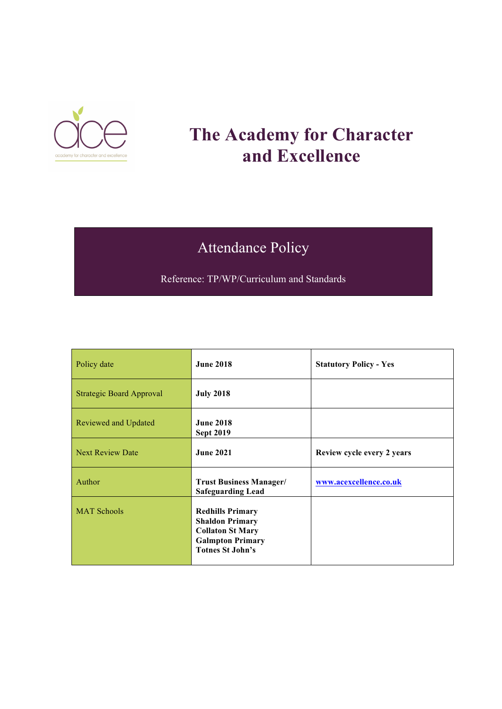

# **The Academy for Character and Excellence**

# Attendance Policy

Reference: TP/WP/Curriculum and Standards

| Policy date                     | <b>June 2018</b>                                                                                                                   | <b>Statutory Policy - Yes</b> |
|---------------------------------|------------------------------------------------------------------------------------------------------------------------------------|-------------------------------|
| <b>Strategic Board Approval</b> | <b>July 2018</b>                                                                                                                   |                               |
| Reviewed and Updated            | <b>June 2018</b><br><b>Sept 2019</b>                                                                                               |                               |
| <b>Next Review Date</b>         | <b>June 2021</b>                                                                                                                   | Review cycle every 2 years    |
| Author                          | <b>Trust Business Manager/</b><br><b>Safeguarding Lead</b>                                                                         | www.acexcellence.co.uk        |
| <b>MAT Schools</b>              | <b>Redhills Primary</b><br><b>Shaldon Primary</b><br><b>Collaton St Mary</b><br><b>Galmpton Primary</b><br><b>Totnes St John's</b> |                               |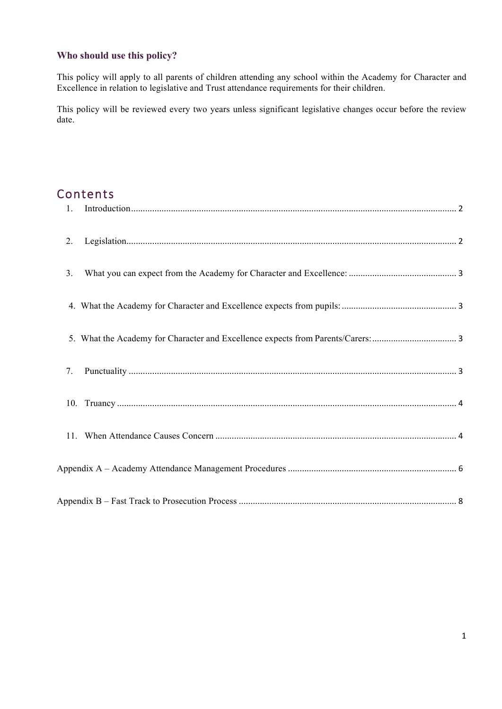## **Who should use this policy?**

This policy will apply to all parents of children attending any school within the Academy for Character and Excellence in relation to legislative and Trust attendance requirements for their children.

This policy will be reviewed every two years unless significant legislative changes occur before the review date.

# Contents

| 2. |  |
|----|--|
| 3. |  |
|    |  |
|    |  |
| 7. |  |
|    |  |
|    |  |
|    |  |
|    |  |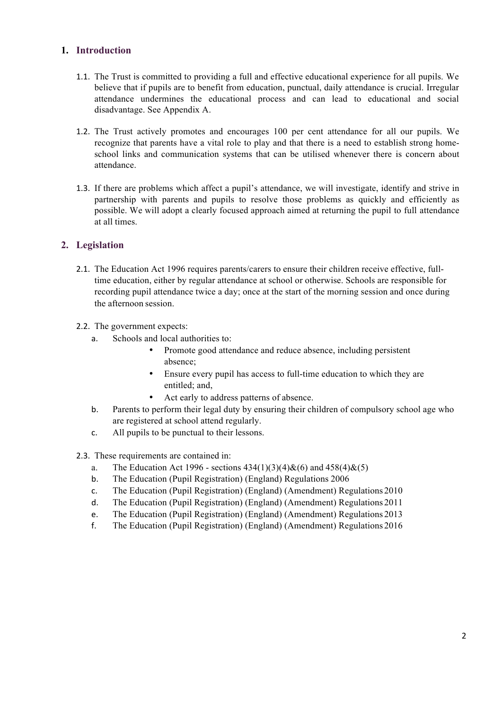#### <span id="page-2-0"></span>**1. Introduction**

- 1.1. The Trust is committed to providing a full and effective educational experience for all pupils. We believe that if pupils are to benefit from education, punctual, daily attendance is crucial. Irregular attendance undermines the educational process and can lead to educational and social disadvantage. See Appendix A.
- 1.2. The Trust actively promotes and encourages 100 per cent attendance for all our pupils. We recognize that parents have a vital role to play and that there is a need to establish strong homeschool links and communication systems that can be utilised whenever there is concern about attendance.
- 1.3. If there are problems which affect a pupil's attendance, we will investigate, identify and strive in partnership with parents and pupils to resolve those problems as quickly and efficiently as possible. We will adopt a clearly focused approach aimed at returning the pupil to full attendance at all times.

#### <span id="page-2-1"></span>**2. Legislation**

2.1. The Education Act 1996 requires parents/carers to ensure their children receive effective, fulltime education, either by regular attendance at school or otherwise. Schools are responsible for recording pupil attendance twice a day; once at the start of the morning session and once during the afternoon session.

#### 2.2. The government expects:

- a. Schools and local authorities to:
	- Promote good attendance and reduce absence, including persistent absence;
	- Ensure every pupil has access to full-time education to which they are entitled; and,
	- Act early to address patterns of absence.
- b. Parents to perform their legal duty by ensuring their children of compulsory school age who are registered at school attend regularly.
- c. All pupils to be punctual to their lessons.
- 2.3. These requirements are contained in:
	- a. The Education Act 1996 sections  $434(1)(3)(4) \& (6)$  and  $458(4) \& (5)$
	- b. The Education (Pupil Registration) (England) Regulations 2006
	- c. The Education (Pupil Registration) (England) (Amendment) Regulations 2010
	- d. The Education (Pupil Registration) (England) (Amendment) Regulations 2011
	- e. The Education (Pupil Registration) (England) (Amendment) Regulations 2013
	- f. The Education (Pupil Registration) (England) (Amendment) Regulations 2016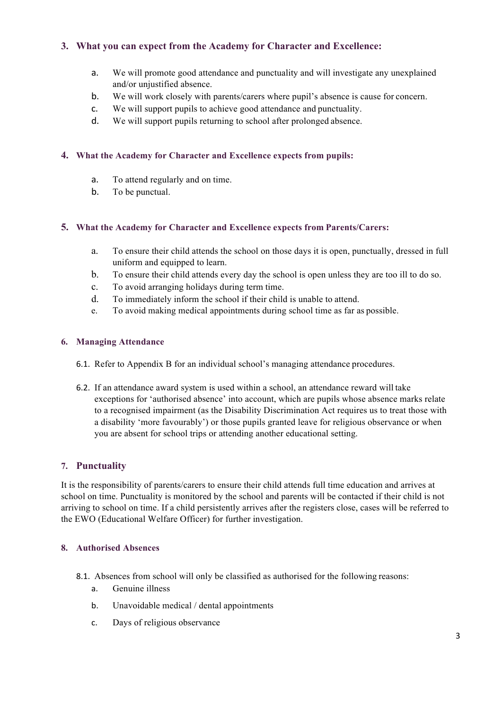### <span id="page-3-0"></span>**3. What you can expect from the Academy for Character and Excellence:**

- a. We will promote good attendance and punctuality and will investigate any unexplained and/or unjustified absence.
- b. We will work closely with parents/carers where pupil's absence is cause for concern.
- c. We will support pupils to achieve good attendance and punctuality.
- d. We will support pupils returning to school after prolonged absence.

#### <span id="page-3-1"></span>**4. What the Academy for Character and Excellence expects from pupils:**

- a. To attend regularly and on time.
- b. To be punctual.

#### <span id="page-3-2"></span>**5. What the Academy for Character and Excellence expects from Parents/Carers:**

- a. To ensure their child attends the school on those days it is open, punctually, dressed in full uniform and equipped to learn.
- b. To ensure their child attends every day the school is open unless they are too ill to do so.
- c. To avoid arranging holidays during term time.
- d. To immediately inform the school if their child is unable to attend.
- e. To avoid making medical appointments during school time as far as possible.

#### **6. Managing Attendance**

- 6.1. Refer to Appendix B for an individual school's managing attendance procedures.
- 6.2. If an attendance award system is used within a school, an attendance reward will take exceptions for 'authorised absence' into account, which are pupils whose absence marks relate to a recognised impairment (as the Disability Discrimination Act requires us to treat those with a disability 'more favourably') or those pupils granted leave for religious observance or when you are absent for school trips or attending another educational setting.

#### <span id="page-3-3"></span>**7. Punctuality**

It is the responsibility of parents/carers to ensure their child attends full time education and arrives at school on time. Punctuality is monitored by the school and parents will be contacted if their child is not arriving to school on time. If a child persistently arrives after the registers close, cases will be referred to the EWO (Educational Welfare Officer) for further investigation.

#### **8. Authorised Absences**

- 8.1. Absences from school will only be classified as authorised for the following reasons:
	- a. Genuine illness
	- b. Unavoidable medical / dental appointments
	- c. Days of religious observance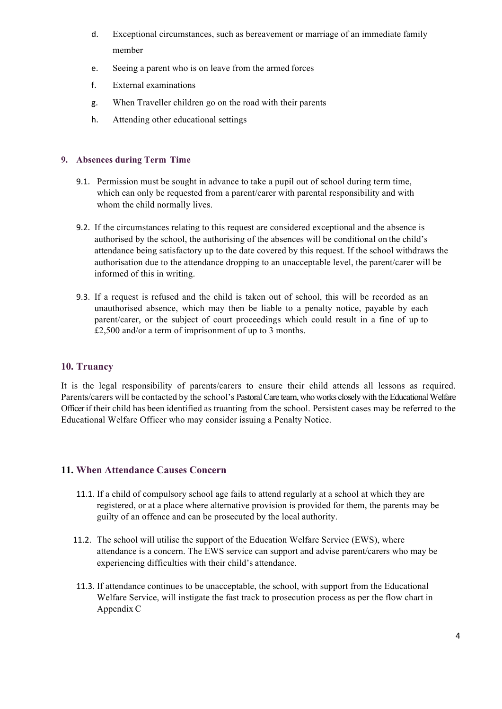- d. Exceptional circumstances, such as bereavement or marriage of an immediate family member
- e. Seeing a parent who is on leave from the armed forces
- f. External examinations
- g. When Traveller children go on the road with their parents
- h. Attending other educational settings

#### **9. Absences during Term Time**

- 9.1. Permission must be sought in advance to take a pupil out of school during term time, which can only be requested from a parent/carer with parental responsibility and with whom the child normally lives.
- 9.2. If the circumstances relating to this request are considered exceptional and the absence is authorised by the school, the authorising of the absences will be conditional on the child's attendance being satisfactory up to the date covered by this request. If the school withdraws the authorisation due to the attendance dropping to an unacceptable level, the parent/carer will be informed of this in writing.
- 9.3. If a request is refused and the child is taken out of school, this will be recorded as an unauthorised absence, which may then be liable to a penalty notice, payable by each parent/carer, or the subject of court proceedings which could result in a fine of up to £2,500 and/or a term of imprisonment of up to 3 months.

#### <span id="page-4-0"></span>**10. Truancy**

It is the legal responsibility of parents/carers to ensure their child attends all lessons as required. Parents/carers will be contacted by the school's Pastoral Care team, who works closely with the Educational Welfare Officer if their child has been identified as truanting from the school. Persistent cases may be referred to the Educational Welfare Officer who may consider issuing a Penalty Notice.

### <span id="page-4-1"></span>**11. When Attendance Causes Concern**

- 11.1. If a child of compulsory school age fails to attend regularly at a school at which they are registered, or at a place where alternative provision is provided for them, the parents may be guilty of an offence and can be prosecuted by the local authority.
- 11.2. The school will utilise the support of the Education Welfare Service (EWS), where attendance is a concern. The EWS service can support and advise parent/carers who may be experiencing difficulties with their child's attendance.
- 11.3. If attendance continues to be unacceptable, the school, with support from the Educational Welfare Service, will instigate the fast track to prosecution process as per the flow chart in Appendix C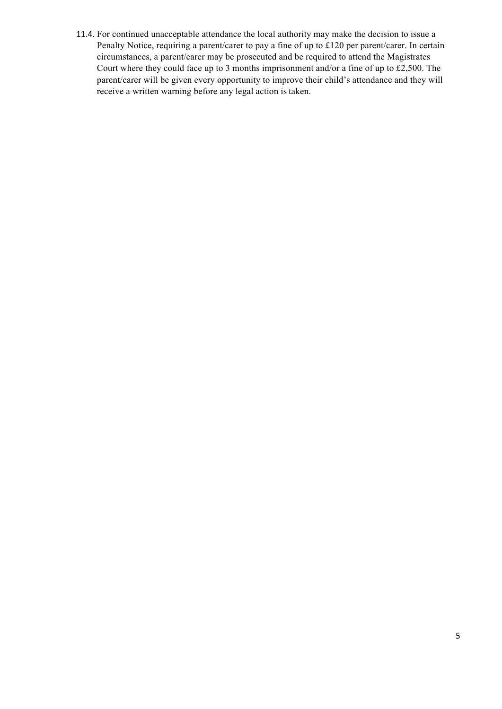11.4. For continued unacceptable attendance the local authority may make the decision to issue a Penalty Notice, requiring a parent/carer to pay a fine of up to £120 per parent/carer. In certain circumstances, a parent/carer may be prosecuted and be required to attend the Magistrates Court where they could face up to 3 months imprisonment and/or a fine of up to £2,500. The parent/carer will be given every opportunity to improve their child's attendance and they will receive a written warning before any legal action is taken.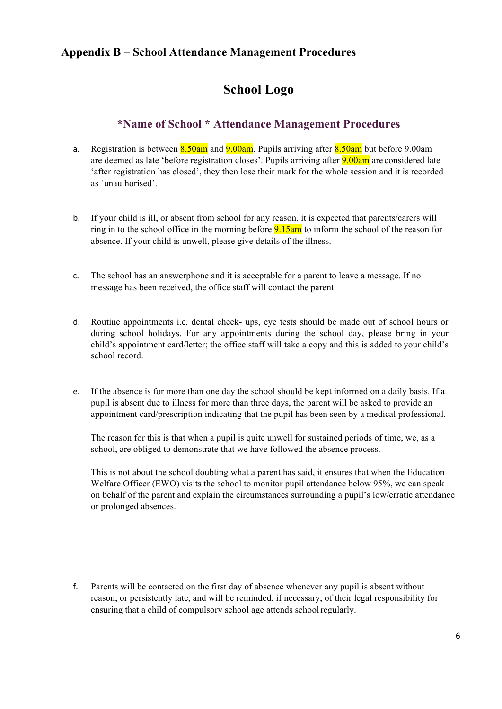# <span id="page-6-0"></span>**Appendix B – School Attendance Management Procedures**

## **School Logo**

## **\*Name of School \* Attendance Management Procedures**

- a. Registration is between  $8.50$ am and  $9.00$ am. Pupils arriving after  $8.50$ am but before 9.00am are deemed as late 'before registration closes'. Pupils arriving after **9.00am** are considered late 'after registration has closed', they then lose their mark for the whole session and it is recorded as 'unauthorised'.
- b. If your child is ill, or absent from school for any reason, it is expected that parents/carers will ring in to the school office in the morning before **9.15am** to inform the school of the reason for absence. If your child is unwell, please give details of the illness.
- c. The school has an answerphone and it is acceptable for a parent to leave a message. If no message has been received, the office staff will contact the parent
- d. Routine appointments i.e. dental check- ups, eye tests should be made out of school hours or during school holidays. For any appointments during the school day, please bring in your child's appointment card/letter; the office staff will take a copy and this is added to your child's school record.
- e. If the absence is for more than one day the school should be kept informed on a daily basis. If a pupil is absent due to illness for more than three days, the parent will be asked to provide an appointment card/prescription indicating that the pupil has been seen by a medical professional.

The reason for this is that when a pupil is quite unwell for sustained periods of time, we, as a school, are obliged to demonstrate that we have followed the absence process.

This is not about the school doubting what a parent has said, it ensures that when the Education Welfare Officer (EWO) visits the school to monitor pupil attendance below 95%, we can speak on behalf of the parent and explain the circumstances surrounding a pupil's low/erratic attendance or prolonged absences.

f. Parents will be contacted on the first day of absence whenever any pupil is absent without reason, or persistently late, and will be reminded, if necessary, of their legal responsibility for ensuring that a child of compulsory school age attends schoolregularly.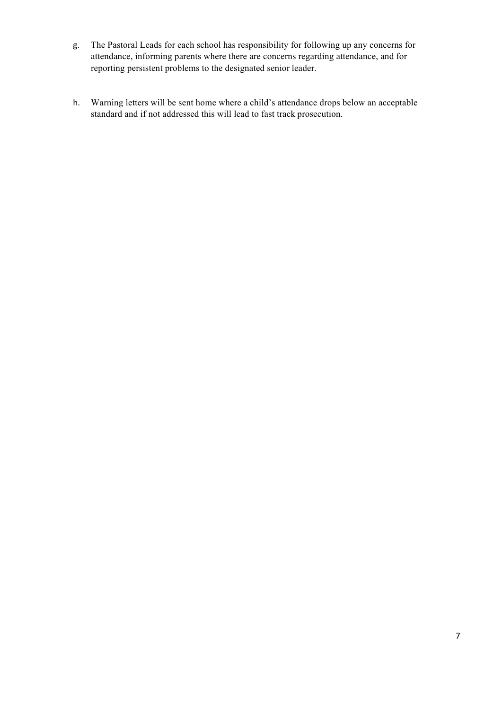- g. The Pastoral Leads for each school has responsibility for following up any concerns for attendance, informing parents where there are concerns regarding attendance, and for reporting persistent problems to the designated senior leader.
- h. Warning letters will be sent home where a child's attendance drops below an acceptable standard and if not addressed this will lead to fast track prosecution.